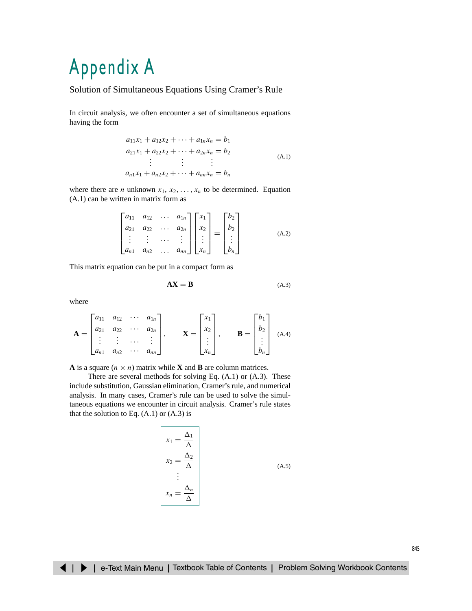# [Appendix A](#page-3-0)

## Solution of Simultaneous Equations Using Cramer's Rule

In circuit analysis, we often encounter a set of simultaneous equations having the form

$$
a_{11}x_1 + a_{12}x_2 + \cdots + a_{1n}x_n = b_1
$$
  
\n
$$
a_{21}x_1 + a_{22}x_2 + \cdots + a_{2n}x_n = b_2
$$
  
\n
$$
\vdots \qquad \vdots
$$
  
\n
$$
a_{n1}x_1 + a_{n2}x_2 + \cdots + a_{nn}x_n = b_n
$$
  
\n(A.1)

where there are *n* unknown  $x_1, x_2, \ldots, x_n$  to be determined. Equation (A.1) can be written in matrix form as

$$
\begin{bmatrix} a_{11} & a_{12} & \cdots & a_{1n} \\ a_{21} & a_{22} & \cdots & a_{2n} \\ \vdots & \vdots & \cdots & \vdots \\ a_{n1} & a_{n2} & \cdots & a_{nn} \end{bmatrix} \begin{bmatrix} x_1 \\ x_2 \\ \vdots \\ x_n \end{bmatrix} = \begin{bmatrix} b_2 \\ b_2 \\ \vdots \\ b_n \end{bmatrix}
$$
 (A.2)

This matrix equation can be put in a compact form as

$$
AX = B \tag{A.3}
$$

where

$$
\mathbf{A} = \begin{bmatrix} a_{11} & a_{12} & \cdots & a_{1n} \\ a_{21} & a_{22} & \cdots & a_{2n} \\ \vdots & \vdots & \cdots & \vdots \\ a_{n1} & a_{n2} & \cdots & a_{nn} \end{bmatrix}, \qquad \mathbf{X} = \begin{bmatrix} x_1 \\ x_2 \\ \vdots \\ x_n \end{bmatrix}, \qquad \mathbf{B} = \begin{bmatrix} b_1 \\ b_2 \\ \vdots \\ b_n \end{bmatrix}
$$
 (A.4)

**A** is a square  $(n \times n)$  matrix while **X** and **B** are column matrices.

There are several methods for solving Eq. (A.1) or (A.3). These include substitution, Gaussian elimination, Cramer's rule, and numerical analysis. In many cases, Cramer's rule can be used to solve the simultaneous equations we encounter in circuit analysis. Cramer's rule states that the solution to Eq.  $(A.1)$  or  $(A.3)$  is

$$
\begin{aligned}\nx_1 &= \frac{\Delta_1}{\Delta} \\
x_2 &= \frac{\Delta_2}{\Delta} \\
&\vdots \\
x_n &= \frac{\Delta_n}{\Delta}\n\end{aligned}
$$
\n(A.5)

845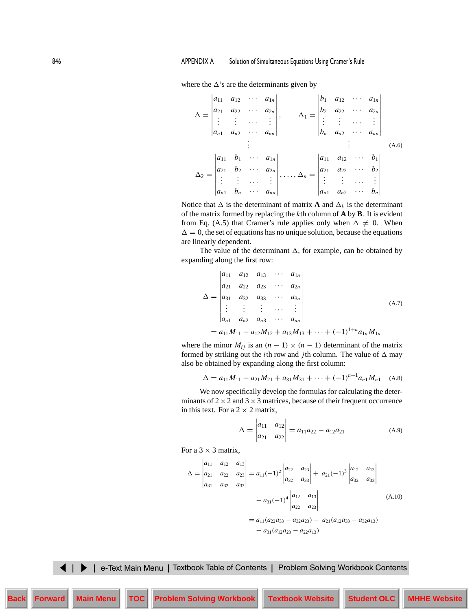where the  $\Delta$ 's are the determinants given by

$$
\Delta = \begin{vmatrix} a_{11} & a_{12} & \cdots & a_{1n} \\ a_{21} & a_{22} & \cdots & a_{2n} \\ \vdots & \vdots & \cdots & \vdots \\ a_{n1} & a_{n2} & \cdots & a_{nn} \end{vmatrix}, \qquad \Delta_1 = \begin{vmatrix} b_1 & a_{12} & \cdots & a_{1n} \\ b_2 & a_{22} & \cdots & a_{2n} \\ \vdots & \vdots & \cdots & \vdots \\ b_n & a_{n2} & \cdots & a_{nn} \end{vmatrix}
$$
  
\n
$$
\Delta_2 = \begin{vmatrix} a_{11} & b_1 & \cdots & a_{1n} \\ a_{21} & b_2 & \cdots & a_{2n} \\ \vdots & \vdots & \cdots & \vdots \\ a_{n1} & b_n & \cdots & a_{nn} \end{vmatrix}, \dots, \Delta_n = \begin{vmatrix} a_{11} & a_{12} & \cdots & b_1 \\ a_{21} & a_{22} & \cdots & b_2 \\ \vdots & \vdots & \cdots & \vdots \\ a_{n1} & a_{n2} & \cdots & b_n \end{vmatrix}
$$
 (A.6)

Notice that  $\Delta$  is the determinant of matrix **A** and  $\Delta_k$  is the determinant of the matrix formed by replacing the *k*th column of **A** by **B**. It is evident from Eq. (A.5) that Cramer's rule applies only when  $\Delta \neq 0$ . When  $\Delta = 0$ , the set of equations has no unique solution, because the equations are linearly dependent.

The value of the determinant  $\Delta$ , for example, can be obtained by expanding along the first row:

$$
\Delta = \begin{vmatrix} a_{11} & a_{12} & a_{13} & \cdots & a_{1n} \\ a_{21} & a_{22} & a_{23} & \cdots & a_{2n} \\ a_{31} & a_{32} & a_{33} & \cdots & a_{3n} \\ \vdots & \vdots & \vdots & \cdots & \vdots \\ a_{n1} & a_{n2} & a_{n3} & \cdots & a_{nn} \end{vmatrix}
$$
\n(A.7)  
=  $a_{11}M_{11} - a_{12}M_{12} + a_{13}M_{13} + \cdots + (-1)^{1+n}a_{1n}M_{1n}$ 

where the minor  $M_{ij}$  is an  $(n - 1) \times (n - 1)$  determinant of the matrix formed by striking out the *i*th row and *j*th column. The value of  $\Delta$  may also be obtained by expanding along the first column:

$$
\Delta = a_{11}M_{11} - a_{21}M_{21} + a_{31}M_{31} + \cdots + (-1)^{n+1}a_{n1}M_{n1}
$$
 (A.8)

We now specifically develop the formulas for calculating the determinants of  $2 \times 2$  and  $3 \times 3$  matrices, because of their frequent occurrence in this text. For a  $2 \times 2$  matrix,

$$
\Delta = \begin{vmatrix} a_{11} & a_{12} \\ a_{21} & a_{22} \end{vmatrix} = a_{11}a_{22} - a_{12}a_{21}
$$
 (A.9)

For a  $3 \times 3$  matrix,

$$
\Delta = \begin{vmatrix} a_{11} & a_{12} & a_{13} \\ a_{21} & a_{22} & a_{23} \\ a_{31} & a_{32} & a_{33} \end{vmatrix} = a_{11}(-1)^2 \begin{vmatrix} a_{22} & a_{23} \\ a_{32} & a_{33} \end{vmatrix} + a_{21}(-1)^3 \begin{vmatrix} a_{12} & a_{13} \\ a_{32} & a_{33} \end{vmatrix}
$$
  
+  $a_{31}(-1)^4 \begin{vmatrix} a_{12} & a_{13} \\ a_{22} & a_{23} \end{vmatrix}$  (A.10)  
=  $a_{11}(a_{22}a_{33} - a_{32}a_{23}) - a_{21}(a_{12}a_{33} - a_{32}a_{13})$   
+  $a_{31}(a_{12}a_{23} - a_{22}a_{13})$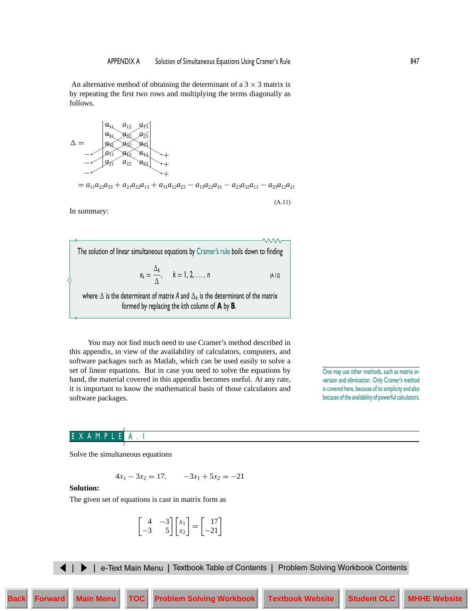An alternative method of obtaining the determinant of a  $3 \times 3$  matrix is by repeating the first two rows and multiplying the terms diagonally as follows.



 $= a_{11}a_{22}a_{33} + a_{21}a_{32}a_{13} + a_{31}a_{12}a_{23} - a_{13}a_{22}a_{31} - a_{23}a_{32}a_{11} - a_{33}a_{12}a_{21}$ 

(A.11)

In summary:

The solution of linear simultaneous equations by Cramer's rule boils down to finding  $x_k = \frac{\Delta_k}{\Delta}, \quad k = 1, 2, ..., n$  (A.12) where  $\Delta$  is the determinant of matrix *A* and  $\Delta_k$  is the determinant of the matrix

formed by replacing the *k*th column of **A** by **B**.

You may not find much need to use Cramer's method described in this appendix, in view of the availability of calculators, computers, and software packages such as Matlab, which can be used easily to solve a set of linear equations. But in case you need to solve the equations by hand, the material covered in this appendix becomes useful. At any rate, it is important to know the mathematical basis of those calculators and software packages.

One may use other methods, such as matrix inversion and elimination. Only Cramer's method is covered here, because of its simplicity and also because of the availability of powerful calculators.

#### E X A M P

Solve the simultaneous equations

$$
4x_1 - 3x_2 = 17, \qquad -3x_1 + 5x_2 = -21
$$

**Solution:**

The given set of equations is cast in matrix form as

$$
\begin{bmatrix} 4 & -3 \ -3 & 5 \end{bmatrix} \begin{bmatrix} x_1 \ x_2 \end{bmatrix} = \begin{bmatrix} 17 \ -21 \end{bmatrix}
$$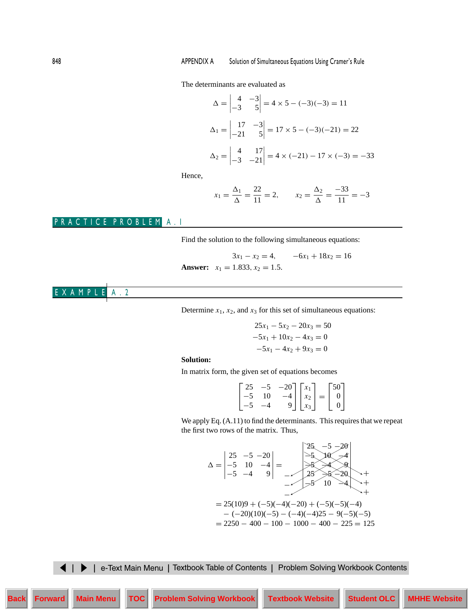<span id="page-3-0"></span>The determinants are evaluated as

$$
\Delta = \begin{vmatrix} 4 & -3 \\ -3 & 5 \end{vmatrix} = 4 \times 5 - (-3)(-3) = 11
$$
  
\n
$$
\Delta_1 = \begin{vmatrix} 17 & -3 \\ -21 & 5 \end{vmatrix} = 17 \times 5 - (-3)(-21) = 22
$$
  
\n
$$
\Delta_2 = \begin{vmatrix} 4 & 17 \\ -3 & -21 \end{vmatrix} = 4 \times (-21) - 17 \times (-3) = -33
$$

Hence,

$$
x_1 = \frac{\Delta_1}{\Delta} = \frac{22}{11} = 2
$$
,  $x_2 = \frac{\Delta_2}{\Delta} = \frac{-33}{11} = -3$ 

# PRACTICE PROBLEM A.1

Find the solution to the following simultaneous equations:

$$
3x_1 - x_2 = 4, \t -6x_1 + 18x_2 = 16
$$
  
Answer:  $x_1 = 1.833, x_2 = 1.5.$ 

EXAMPLE A.2 

Determine  $x_1$ ,  $x_2$ , and  $x_3$  for this set of simultaneous equations:

$$
25x1 - 5x2 - 20x3 = 50
$$
  

$$
-5x1 + 10x2 - 4x3 = 0
$$
  

$$
-5x1 - 4x2 + 9x3 = 0
$$

#### **Solution:**

In matrix form, the given set of equations becomes

|  | $\begin{bmatrix} 25 & -5 & -20 \\ -5 & 10 & -4 \\ -5 & -4 & 9 \end{bmatrix} \begin{bmatrix} x_1 \\ x_2 \\ x_3 \end{bmatrix} = \begin{bmatrix} 50 \\ 0 \\ 0 \end{bmatrix}$ |  |  |
|--|---------------------------------------------------------------------------------------------------------------------------------------------------------------------------|--|--|

We apply Eq. (A.11) to find the determinants. This requires that we repeat the first two rows of the matrix. Thus,

$$
\Delta = \begin{vmatrix} 25 & -5 & -20 \\ -5 & 10 & -4 \\ -5 & -4 & 9 \end{vmatrix} = \begin{vmatrix} 25 & -5 & -20 \\ -5 & 10 & -4 \\ -5 & 25 & 8 & -20 \\ -5 & 10 & -4 \\ -5 & 10 & -4 \end{vmatrix} +
$$
  
= 25(10)9 + (-5)(-4)(-20) + (-5)(-5)(-4)  
- (-20)(10)(-5) - (-4)(-4)25 - 9(-5)(-5)  
= 2250 - 400 - 100 - 1000 - 400 - 225 = 125